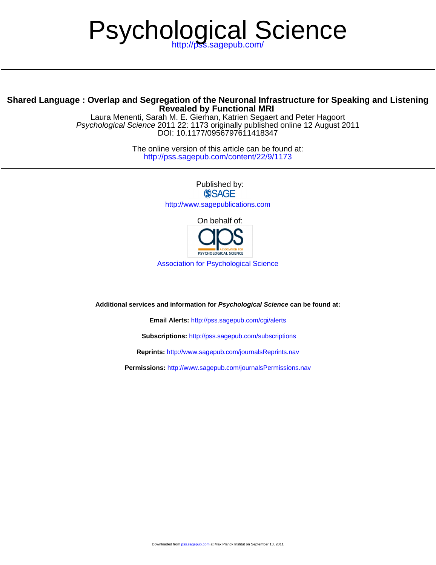# Psychological Science

#### **Revealed by Functional MRI Shared Language : Overlap and Segregation of the Neuronal Infrastructure for Speaking and Listening**

DOI: 10.1177/0956797611418347 Psychological Science 2011 22: 1173 originally published online 12 August 2011 Laura Menenti, Sarah M. E. Gierhan, Katrien Segaert and Peter Hagoort

> <http://pss.sagepub.com/content/22/9/1173> The online version of this article can be found at:

> > Published by:<br>
> > SAGE <http://www.sagepublications.com>

> > > On behalf of:



[Association for Psychological Science](http://www.psychologicalscience.org/)

**Additional services and information for Psychological Science can be found at:**

**Email Alerts:** <http://pss.sagepub.com/cgi/alerts>

**Subscriptions:** <http://pss.sagepub.com/subscriptions>

**Reprints:** <http://www.sagepub.com/journalsReprints.nav>

**Permissions:** <http://www.sagepub.com/journalsPermissions.nav>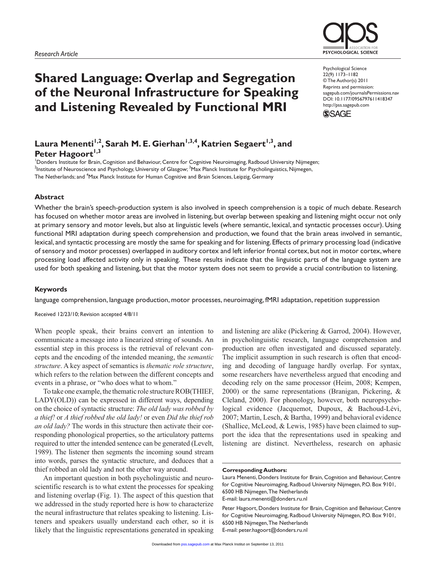## **Shared Language: Overlap and Segregation of the Neuronal Infrastructure for Speaking and Listening Revealed by Functional MRI**

# PSYCHOLOGICAL SCIENCE

Psychological Science 22(9) 1173–1182 © The Author(s) 2011 Reprints and permission: sagepub.com/journalsPermissions.nav DOI: 10.1177/0956797611418347 http://pss.sagepub.com



### Laura Menenti<sup>1,2</sup>, Sarah M. E. Gierhan<sup>1,3,4</sup>, Katrien Segaert<sup>1,3</sup>, and **Peter Hagoort1,3**

<sup>1</sup>Donders Institute for Brain, Cognition and Behaviour, Centre for Cognitive Neuroimaging, Radboud University Nijmegen; <sup>2</sup>Institute of Neuroscience and Psychology, University of Glasgow; <sup>3</sup>Max Planck Institute for Psycholinguistics, Nijmegen, The Netherlands; and <sup>4</sup>Max Planck Institute for Human Cognitive and Brain Sciences, Leipzig, Germany

#### **Abstract**

Whether the brain's speech-production system is also involved in speech comprehension is a topic of much debate. Research has focused on whether motor areas are involved in listening, but overlap between speaking and listening might occur not only at primary sensory and motor levels, but also at linguistic levels (where semantic, lexical, and syntactic processes occur). Using functional MRI adaptation during speech comprehension and production, we found that the brain areas involved in semantic, lexical, and syntactic processing are mostly the same for speaking and for listening. Effects of primary processing load (indicative of sensory and motor processes) overlapped in auditory cortex and left inferior frontal cortex, but not in motor cortex, where processing load affected activity only in speaking. These results indicate that the linguistic parts of the language system are used for both speaking and listening, but that the motor system does not seem to provide a crucial contribution to listening.

#### **Keywords**

language comprehension, language production, motor processes, neuroimaging, fMRI adaptation, repetition suppression

Received 12/23/10; Revision accepted 4/8/11

When people speak, their brains convert an intention to communicate a message into a linearized string of sounds. An essential step in this process is the retrieval of relevant concepts and the encoding of the intended meaning, the *semantic structure*. A key aspect of semantics is *thematic role structure*, which refers to the relation between the different concepts and events in a phrase, or "who does what to whom."

To take one example, the thematic role structure ROB(THIEF, LADY(OLD)) can be expressed in different ways, depending on the choice of syntactic structure: *The old lady was robbed by a thief!* or *A thief robbed the old lady!* or even *Did the thief rob an old lady?* The words in this structure then activate their corresponding phonological properties, so the articulatory patterns required to utter the intended sentence can be generated (Levelt, 1989). The listener then segments the incoming sound stream into words, parses the syntactic structure, and deduces that a thief robbed an old lady and not the other way around.

An important question in both psycholinguistic and neuroscientific research is to what extent the processes for speaking and listening overlap (Fig. 1). The aspect of this question that we addressed in the study reported here is how to characterize the neural infrastructure that relates speaking to listening. Listeners and speakers usually understand each other, so it is likely that the linguistic representations generated in speaking and listening are alike (Pickering & Garrod, 2004). However, in psycholinguistic research, language comprehension and production are often investigated and discussed separately. The implicit assumption in such research is often that encoding and decoding of language hardly overlap. For syntax, some researchers have nevertheless argued that encoding and decoding rely on the same processor (Heim, 2008; Kempen, 2000) or the same representations (Branigan, Pickering, & Cleland, 2000). For phonology, however, both neuropsychological evidence (Jacquemot, Dupoux, & Bachoud-Lévi, 2007; Martin, Lesch, & Bartha, 1999) and behavioral evidence (Shallice, McLeod, & Lewis, 1985) have been claimed to support the idea that the representations used in speaking and listening are distinct. Nevertheless, research on aphasic

**Corresponding Authors:**

Laura Menenti, Donders Institute for Brain, Cognition and Behaviour, Centre for Cognitive Neuroimaging, Radboud University Nijmegen, P.O. Box 9101, 6500 HB Nijmegen, The Netherlands E-mail: laura.menenti@donders.ru.nl

Peter Hagoort, Donders Institute for Brain, Cognition and Behaviour, Centre for Cognitive Neuroimaging, Radboud University Nijmegen, P.O. Box 9101, 6500 HB Nijmegen, The Netherlands E-mail: peter.hagoort@donders.ru.nl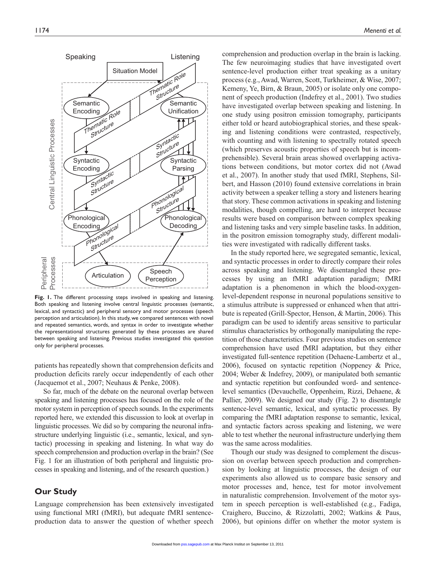

**Fig. 1.** The different processing steps involved in speaking and listening. Both speaking and listening involve central linguistic processes (semantic, lexical, and syntactic) and peripheral sensory and motor processes (speech perception and articulation). In this study, we compared sentences with novel and repeated semantics, words, and syntax in order to investigate whether the representational structures generated by these processes are shared between speaking and listening. Previous studies investigated this question only for peripheral processes.

patients has repeatedly shown that comprehension deficits and production deficits rarely occur independently of each other (Jacquemot et al., 2007; Neuhaus & Penke, 2008).

So far, much of the debate on the neuronal overlap between speaking and listening processes has focused on the role of the motor system in perception of speech sounds. In the experiments reported here, we extended this discussion to look at overlap in linguistic processes. We did so by comparing the neuronal infrastructure underlying linguistic (i.e., semantic, lexical, and syntactic) processing in speaking and listening. In what way do speech comprehension and production overlap in the brain? (See Fig. 1 for an illustration of both peripheral and linguistic processes in speaking and listening, and of the research question.)

#### **Our Study**

Language comprehension has been extensively investigated using functional MRI (fMRI), but adequate fMRI sentenceproduction data to answer the question of whether speech

comprehension and production overlap in the brain is lacking. The few neuroimaging studies that have investigated overt sentence-level production either treat speaking as a unitary process (e.g., Awad, Warren, Scott, Turkheimer, & Wise, 2007; Kemeny, Ye, Birn, & Braun, 2005) or isolate only one component of speech production (Indefrey et al., 2001). Two studies have investigated overlap between speaking and listening. In one study using positron emission tomography, participants either told or heard autobiographical stories, and these speaking and listening conditions were contrasted, respectively, with counting and with listening to spectrally rotated speech (which preserves acoustic properties of speech but is incomprehensible). Several brain areas showed overlapping activations between conditions, but motor cortex did not (Awad et al., 2007). In another study that used fMRI, Stephens, Silbert, and Hasson (2010) found extensive correlations in brain activity between a speaker telling a story and listeners hearing that story. These common activations in speaking and listening modalities, though compelling, are hard to interpret because results were based on comparison between complex speaking and listening tasks and very simple baseline tasks. In addition, in the positron emission tomography study, different modali-

ties were investigated with radically different tasks. In the study reported here, we segregated semantic, lexical, and syntactic processes in order to directly compare their roles across speaking and listening. We disentangled these processes by using an fMRI adaptation paradigm; fMRI adaptation is a phenomenon in which the blood-oxygenlevel-dependent response in neuronal populations sensitive to a stimulus attribute is suppressed or enhanced when that attribute is repeated (Grill-Spector, Henson, & Martin, 2006). This paradigm can be used to identify areas sensitive to particular stimulus characteristics by orthogonally manipulating the repetition of those characteristics. Four previous studies on sentence comprehension have used fMRI adaptation, but they either investigated full-sentence repetition (Dehaene-Lambertz et al., 2006), focused on syntactic repetition (Noppeney & Price, 2004; Weber & Indefrey, 2009), or manipulated both semantic and syntactic repetition but confounded word- and sentencelevel semantics (Devauchelle, Oppenheim, Rizzi, Dehaene, & Pallier, 2009). We designed our study (Fig. 2) to disentangle sentence-level semantic, lexical, and syntactic processes. By comparing the fMRI adaptation response to semantic, lexical, and syntactic factors across speaking and listening, we were able to test whether the neuronal infrastructure underlying them was the same across modalities.

Though our study was designed to complement the discussion on overlap between speech production and comprehension by looking at linguistic processes, the design of our experiments also allowed us to compare basic sensory and motor processes and, hence, test for motor involvement in naturalistic comprehension. Involvement of the motor system in speech perception is well-established (e.g., Fadiga, Craighero, Buccino, & Rizzolatti, 2002; Watkins & Paus, 2006), but opinions differ on whether the motor system is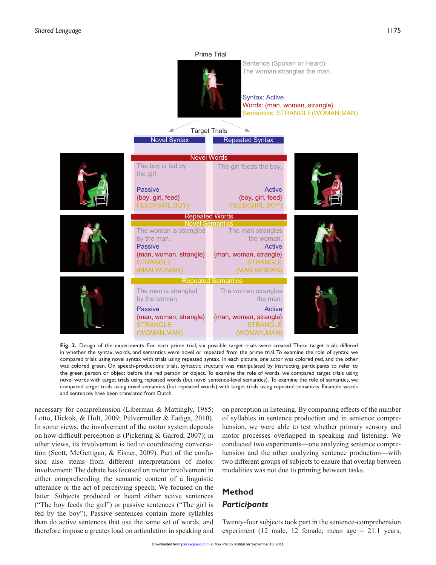

Fig. 2. Design of the experiments. For each prime trial, six possible target trials were created. These target trials differed in whether the syntax, words, and semantics were novel or repeated from the prime trial. To examine the role of syntax, we compared trials using novel syntax with trials using repeated syntax. In each picture, one actor was colored red, and the other was colored green. On speech-productions trials, syntactic sructure was manipulated by instructing participants to refer to the green person or object before the red person or object. To examine the role of words, we compared target trials using novel words with target trials using repeated words (but novel sentence-level semantics). To examine the role of semantics, we compared target trials using novel semantics (but repeated words) with target trials using repeated semantics. Example words and sentences have been translated from Dutch.

necessary for comprehension (Liberman & Mattingly, 1985; Lotto, Hickok, & Holt, 2009; Pulvermüller & Fadiga, 2010). In some views, the involvement of the motor system depends on how difficult perception is (Pickering & Garrod, 2007); in other views, its involvement is tied to coordinating conversation (Scott, McGettigan, & Eisner, 2009). Part of the confusion also stems from different interpretations of motor involvement: The debate has focused on motor involvement in either comprehending the semantic content of a linguistic utterance or the act of perceiving speech. We focused on the latter. Subjects produced or heard either active sentences ("The boy feeds the girl") or passive sentences ("The girl is fed by the boy"). Passive sentences contain more syllables than do active sentences that use the same set of words, and therefore impose a greater load on articulation in speaking and on perception in listening. By comparing effects of the number of syllables in sentence production and in sentence comprehension, we were able to test whether primary sensory and motor processes overlapped in speaking and listening. We conducted two experiments—one analyzing sentence comprehension and the other analyzing sentence production—with two different groups of subjects to ensure that overlap between modalities was not due to priming between tasks.

### **Method** *Participants*

Twenty-four subjects took part in the sentence-comprehension experiment (12 male, 12 female; mean age = 21.1 years,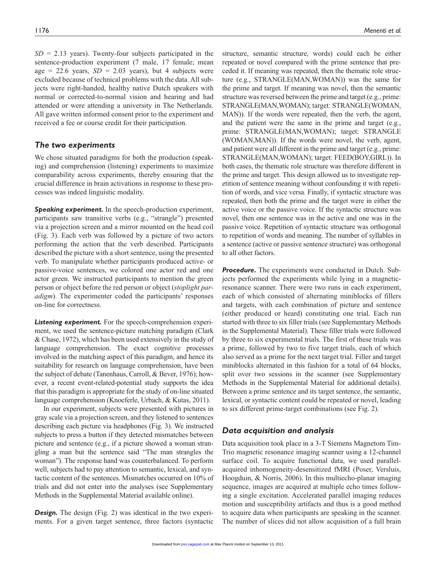$SD = 2.13$  years). Twenty-four subjects participated in the sentence-production experiment (7 male, 17 female; mean age = 22.6 years,  $SD = 2.03$  years), but 4 subjects were excluded because of technical problems with the data. All subjects were right-handed, healthy native Dutch speakers with normal or corrected-to-normal vision and hearing and had attended or were attending a university in The Netherlands. All gave written informed consent prior to the experiment and received a fee or course credit for their participation.

#### *The two experiments*

We chose situated paradigms for both the production (speaking) and comprehension (listening) experiments to maximize comparability across experiments, thereby ensuring that the crucial difference in brain activations in response to these processes was indeed linguistic modality.

*Speaking experiment.* In the speech-production experiment, participants saw transitive verbs (e.g., "strangle") presented via a projection screen and a mirror mounted on the head coil (Fig. 3). Each verb was followed by a picture of two actors performing the action that the verb described. Participants described the picture with a short sentence, using the presented verb. To manipulate whether participants produced active- or passive-voice sentences, we colored one actor red and one actor green. We instructed participants to mention the green person or object before the red person or object (*stoplight paradigm*). The experimenter coded the participants' responses on-line for correctness.

*Listening experiment.* For the speech-comprehension experiment, we used the sentence-picture matching paradigm (Clark & Chase, 1972), which has been used extensively in the study of language comprehension. The exact cognitive processes involved in the matching aspect of this paradigm, and hence its suitability for research on language comprehension, have been the subject of debate (Tanenhaus, Carroll, & Bever, 1976); however, a recent event-related-potential study supports the idea that this paradigm is appropriate for the study of on-line situated language comprehension (Knoeferle, Urbach, & Kutas, 2011).

In our experiment, subjects were presented with pictures in gray scale via a projection screen, and they listened to sentences describing each picture via headphones (Fig. 3). We instructed subjects to press a button if they detected mismatches between picture and sentence (e.g., if a picture showed a woman strangling a man but the sentence said "The man strangles the woman"). The response hand was counterbalanced. To perform well, subjects had to pay attention to semantic, lexical, and syntactic content of the sentences. Mismatches occurred on 10% of trials and did not enter into the analyses (see Supplementary Methods in the Supplemental Material available online).

**Design.** The design (Fig. 2) was identical in the two experiments. For a given target sentence, three factors (syntactic

structure, semantic structure, words) could each be either repeated or novel compared with the prime sentence that preceded it. If meaning was repeated, then the thematic role structure (e.g., STRANGLE(MAN,WOMAN)) was the same for the prime and target. If meaning was novel, then the semantic structure was reversed between the prime and target (e.g., prime: STRANGLE(MAN,WOMAN); target: STRANGLE(WOMAN, MAN)). If the words were repeated, then the verb, the agent, and the patient were the same in the prime and target (e.g., prime: STRANGLE(MAN,WOMAN); target: STRANGLE (WOMAN,MAN)). If the words were novel, the verb, agent, and patient were all different in the prime and target (e.g., prime: STRANGLE(MAN,WOMAN); target: FEED(BOY,GIRL)). In both cases, the thematic role structure was therefore different in the prime and target. This design allowed us to investigate repetition of sentence meaning without confounding it with repetition of words, and vice versa. Finally, if syntactic structure was repeated, then both the prime and the target were in either the active voice or the passive voice. If the syntactic structure was novel, then one sentence was in the active and one was in the passive voice. Repetition of syntactic structure was orthogonal to repetition of words and meaning. The number of syllables in a sentence (active or passive sentence structure) was orthogonal to all other factors.

**Procedure.** The experiments were conducted in Dutch. Subjects performed the experiments while lying in a magneticresonance scanner. There were two runs in each experiment, each of which consisted of alternating miniblocks of fillers and targets, with each combination of picture and sentence (either produced or heard) constituting one trial. Each run started with three to six filler trials (see Supplementary Methods in the Supplemental Material). These filler trials were followed by three to six experimental trials. The first of these trials was a prime, followed by two to five target trials, each of which also served as a prime for the next target trial. Filler and target miniblocks alternated in this fashion for a total of 64 blocks, split over two sessions in the scanner (see Supplementary Methods in the Supplemental Material for additional details). Between a prime sentence and its target sentence, the semantic, lexical, or syntactic content could be repeated or novel, leading to six different prime-target combinations (see Fig. 2).

#### *Data acquisition and analysis*

Data acquisition took place in a 3-T Siemens Magnetom Tim-Trio magnetic resonance imaging scanner using a 12-channel surface coil. To acquire functional data, we used parallelacquired inhomogeneity-desensitized fMRI (Poser, Versluis, Hoogduin, & Norris, 2006). In this multiecho-planar imaging sequence, images are acquired at multiple echo times following a single excitation. Accelerated parallel imaging reduces motion and susceptibility artifacts and thus is a good method to acquire data when participants are speaking in the scanner. The number of slices did not allow acquisition of a full brain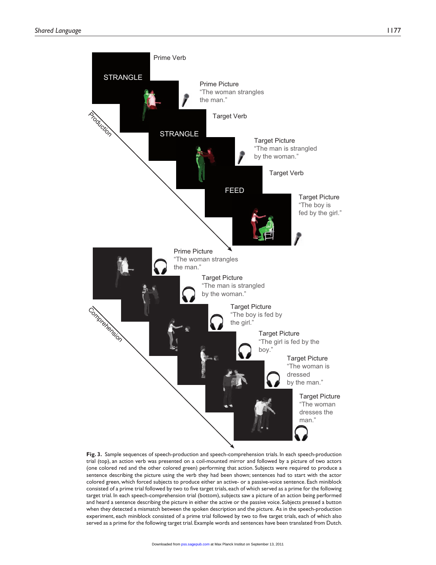

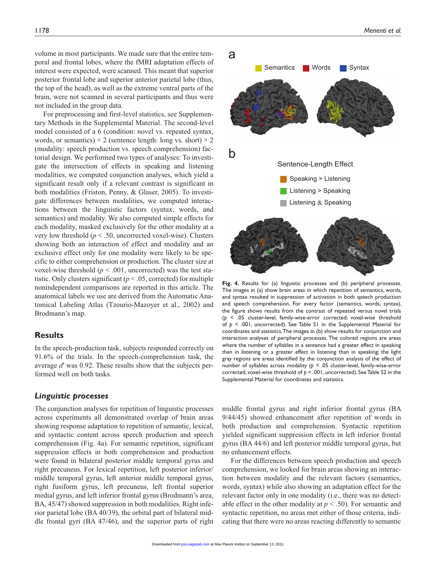volume in most participants. We made sure that the entire temporal and frontal lobes, where the fMRI adaptation effects of interest were expected, were scanned. This meant that superior posterior frontal lobe and superior anterior parietal lobe (thus, the top of the head), as well as the extreme ventral parts of the brain, were not scanned in several participants and thus were not included in the group data.

For preprocessing and first-level statistics, see Supplementary Methods in the Supplemental Material. The second-level model consisted of a 6 (condition: novel vs. repeated syntax, words, or semantics)  $\times$  2 (sentence length: long vs. short)  $\times$  2 (modality: speech production vs. speech comprehension) factorial design. We performed two types of analyses: To investigate the intersection of effects in speaking and listening modalities, we computed conjunction analyses, which yield a significant result only if a relevant contrast is significant in both modalities (Friston, Penny, & Glaser, 2005). To investigate differences between modalities, we computed interactions between the linguistic factors (syntax, words, and semantics) and modality. We also computed simple effects for each modality, masked exclusively for the other modality at a very low threshold ( $p < .50$ , uncorrected voxel-wise). Clusters showing both an interaction of effect and modality and an exclusive effect only for one modality were likely to be specific to either comprehension or production. The cluster size at voxel-wise threshold ( $p < .001$ , uncorrected) was the test statistic. Only clusters significant ( $p < .05$ , corrected) for multiple nonindependent comparisons are reported in this article. The anatomical labels we use are derived from the Automatic Anatomical Labeling Atlas (Tzourio-Mazoyer et al., 2002) and Brodmann's map.

#### **Results**

In the speech-production task, subjects responded correctly on 91.6% of the trials. In the speech-comprehension task, the average *d*′ was 0.92. These results show that the subjects performed well on both tasks.

#### *Linguistic processes*

The conjunction analyses for repetition of linguistic processes across experiments all demonstrated overlap of brain areas showing response adaptation to repetition of semantic, lexical, and syntactic content across speech production and speech comprehension (Fig. 4a). For semantic repetition, significant suppression effects in both comprehension and production were found in bilateral posterior middle temporal gyrus and right precuneus. For lexical repetition, left posterior inferior/ middle temporal gyrus, left anterior middle temporal gyrus, right fusiform gyrus, left precuneus, left frontal superior medial gyrus, and left inferior frontal gyrus (Brodmann's area, BA, 45/47) showed suppression in both modalities. Right inferior parietal lobe (BA 40/39), the orbital part of bilateral middle frontal gyri (BA 47/46), and the superior parts of right



**Fig. 4.** Results for (a) linguistic processes and (b) peripheral processes. The images in (a) show brain areas in which repetition of semantics, words, and syntax resulted in suppression of activation in both speech production and speech comprehension. For every factor (semantics, words, syntax), the figure shows results from the contrast of repeated versus novel trials (*p* < .05 cluster-level, family-wise-error corrected; voxel-wise threshold of  $p \le 0.001$ , uncorrected). See Table S1 in the Supplemental Material for coordinates and statistics. The images in (b) show results for conjunction and interaction analyses of peripheral processes. The colored regions are areas where the number of syllables in a sentence had a greater effect in speaking than in listening or a greater effect in listening than in speaking; the light gray regions are areas identified by the conjunction analysis of the effect of number of syllables across modality (*p* < .05 cluster-level, family-wise-error corrected, voxel-wise threshold of *p* < .001, uncorrected). See Table S2 in the Supplemental Material for coordinates and statistics.

middle frontal gyrus and right inferior frontal gyrus (BA 9/44/45) showed enhancement after repetition of words in both production and comprehension. Syntactic repetition yielded significant suppression effects in left inferior frontal gyrus (BA 44/6) and left posterior middle temporal gyrus, but no enhancement effects.

For the differences between speech production and speech comprehension, we looked for brain areas showing an interaction between modality and the relevant factors (semantics, words, syntax) while also showing an adaptation effect for the relevant factor only in one modality (i.e., there was no detectable effect in the other modality at  $p < .50$ ). For semantic and syntactic repetition, no areas met either of those criteria, indicating that there were no areas reacting differently to semantic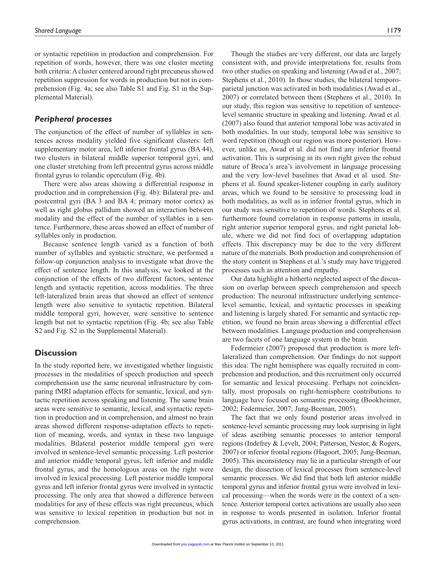or syntactic repetition in production and comprehension. For repetition of words, however, there was one cluster meeting both criteria: A cluster centered around right precuneus showed repetition suppression for words in production but not in comprehension (Fig. 4a; see also Table S1 and Fig. S1 in the Supplemental Material).

#### *Peripheral processes*

The conjunction of the effect of number of syllables in sentences across modality yielded five significant clusters: left supplementary motor area, left inferior frontal gyrus (BA 44), two clusters in bilateral middle superior temporal gyri, and one cluster stretching from left precentral gyrus across middle frontal gyrus to rolandic operculum (Fig. 4b).

There were also areas showing a differential response in production and in comprehension (Fig. 4b): Bilateral pre- and postcentral gyri (BA 3 and BA 4; primary motor cortex) as well as right globus pallidum showed an interaction between modality and the effect of the number of syllables in a sentence. Furthermore, these areas showed an effect of number of syllables only in production.

Because sentence length varied as a function of both number of syllables and syntactic structure, we performed a follow-up conjunction analysis to investigate what drove the effect of sentence length. In this analysis, we looked at the conjunction of the effects of two different factors, sentence length and syntactic repetition, across modalities. The three left-lateralized brain areas that showed an effect of sentence length were also sensitive to syntactic repetition. Bilateral middle temporal gyri, however, were sensitive to sentence length but not to syntactic repetition (Fig. 4b; see also Table S2 and Fig. S2 in the Supplemental Material).

#### **Discussion**

In the study reported here, we investigated whether linguistic processes in the modalities of speech production and speech comprehension use the same neuronal infrastructure by comparing fMRI adaptation effects for semantic, lexical, and syntactic repetition across speaking and listening. The same brain areas were sensitive to semantic, lexical, and syntactic repetition in production and in comprehension, and almost no brain areas showed different response-adaptation effects to repetition of meaning, words, and syntax in these two language modalities. Bilateral posterior middle temporal gyri were involved in sentence-level semantic processing. Left posterior and anterior middle temporal gyrus, left inferior and middle frontal gyrus, and the homologous areas on the right were involved in lexical processing. Left posterior middle temporal gyrus and left inferior frontal gyrus were involved in syntactic processing. The only area that showed a difference between modalities for any of these effects was right precuneus, which was sensitive to lexical repetition in production but not in comprehension.

Though the studies are very different, our data are largely consistent with, and provide interpretations for, results from two other studies on speaking and listening (Awad et al., 2007; Stephens et al., 2010). In those studies, the bilateral temporoparietal junction was activated in both modalities (Awad et al., 2007) or correlated between them (Stephens et al., 2010). In our study, this region was sensitive to repetition of sentencelevel semantic structure in speaking and listening. Awad et al. (2007) also found that anterior temporal lobe was activated in both modalities. In our study, temporal lobe was sensitive to word repetition (though our region was more posterior). However, unlike us, Awad et al. did not find any inferior frontal activation. This is surprising in its own right given the robust nature of Broca's area's involvement in language processing and the very low-level baselines that Awad et al. used. Stephens et al. found speaker-listener coupling in early auditory areas, which we found to be sensitive to processing load in both modalities, as well as in inferior frontal gyrus, which in our study was sensitive to repetition of words. Stephens et al. furthermore found correlation in response patterns in insula, right anterior superior temporal gyrus, and right parietal lobule, where we did not find foci of overlapping adaptation effects. This discrepancy may be due to the very different nature of the materials. Both production and comprehension of the story content in Stephens et al.'s study may have triggered processes such as attention and empathy.

Our data highlight a hitherto neglected aspect of the discussion on overlap between speech comprehension and speech production: The neuronal infrastructure underlying sentencelevel semantic, lexical, and syntactic processes in speaking and listening is largely shared. For semantic and syntactic repetition, we found no brain areas showing a differential effect between modalities. Language production and comprehension are two facets of one language system in the brain.

Federmeier (2007) proposed that production is more leftlateralized than comprehension. Our findings do not support this idea: The right hemisphere was equally recruited in comprehension and production, and this recruitment only occurred for semantic and lexical processing. Perhaps not coincidentally, most proposals on right-hemisphere contributions to language have focused on semantic processing (Bookheimer, 2002; Federmeier, 2007; Jung-Beeman, 2005).

The fact that we only found posterior areas involved in sentence-level semantic processing may look surprising in light of ideas ascribing semantic processes to anterior temporal regions (Indefrey & Levelt, 2004; Patterson, Nestor, & Rogers, 2007) or inferior frontal regions (Hagoort, 2005; Jung-Beeman, 2005). This inconsistency may lie in a particular strength of our design, the dissection of lexical processes from sentence-level semantic processes. We did find that both left anterior middle temporal gyrus and inferior frontal gyrus were involved in lexical processing—when the words were in the context of a sentence. Anterior temporal cortex activations are usually also seen in response to words presented in isolation. Inferior frontal gyrus activations, in contrast, are found when integrating word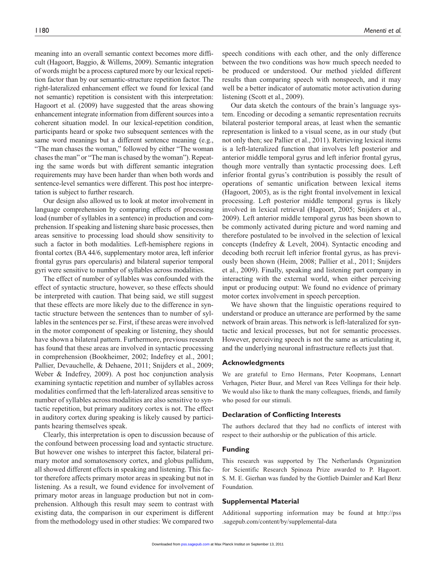meaning into an overall semantic context becomes more difficult (Hagoort, Baggio, & Willems, 2009). Semantic integration of words might be a process captured more by our lexical repetition factor than by our semantic-structure repetition factor. The right-lateralized enhancement effect we found for lexical (and not semantic) repetition is consistent with this interpretation: Hagoort et al. (2009) have suggested that the areas showing enhancement integrate information from different sources into a coherent situation model. In our lexical-repetition condition, participants heard or spoke two subsequent sentences with the same word meanings but a different sentence meaning (e.g., "The man chases the woman," followed by either "The woman chases the man" or "The man is chased by the woman"). Repeating the same words but with different semantic integration requirements may have been harder than when both words and sentence-level semantics were different. This post hoc interpretation is subject to further research.

Our design also allowed us to look at motor involvement in language comprehension by comparing effects of processing load (number of syllables in a sentence) in production and comprehension. If speaking and listening share basic processes, then areas sensitive to processing load should show sensitivity to such a factor in both modalities. Left-hemisphere regions in frontal cortex (BA 44/6, supplementary motor area, left inferior frontal gyrus pars opercularis) and bilateral superior temporal gyri were sensitive to number of syllables across modalities.

The effect of number of syllables was confounded with the effect of syntactic structure, however, so these effects should be interpreted with caution. That being said, we still suggest that these effects are more likely due to the difference in syntactic structure between the sentences than to number of syllables in the sentences per se. First, if these areas were involved in the motor component of speaking or listening, they should have shown a bilateral pattern. Furthermore, previous research has found that these areas are involved in syntactic processing in comprehension (Bookheimer, 2002; Indefrey et al., 2001; Pallier, Devauchelle, & Dehaene, 2011; Snijders et al., 2009; Weber & Indefrey, 2009). A post hoc conjunction analysis examining syntactic repetition and number of syllables across modalities confirmed that the left-lateralized areas sensitive to number of syllables across modalities are also sensitive to syntactic repetition, but primary auditory cortex is not. The effect in auditory cortex during speaking is likely caused by participants hearing themselves speak.

Clearly, this interpretation is open to discussion because of the confound between processing load and syntactic structure. But however one wishes to interpret this factor, bilateral primary motor and somatosensory cortex, and globus pallidum, all showed different effects in speaking and listening. This factor therefore affects primary motor areas in speaking but not in listening. As a result, we found evidence for involvement of primary motor areas in language production but not in comprehension. Although this result may seem to contrast with existing data, the comparison in our experiment is different from the methodology used in other studies: We compared two

speech conditions with each other, and the only difference between the two conditions was how much speech needed to be produced or understood. Our method yielded different results than comparing speech with nonspeech, and it may well be a better indicator of automatic motor activation during listening (Scott et al., 2009).

Our data sketch the contours of the brain's language system. Encoding or decoding a semantic representation recruits bilateral posterior temporal areas, at least when the semantic representation is linked to a visual scene, as in our study (but not only then; see Pallier et al., 2011). Retrieving lexical items is a left-lateralized function that involves left posterior and anterior middle temporal gyrus and left inferior frontal gyrus, though more ventrally than syntactic processing does. Left inferior frontal gyrus's contribution is possibly the result of operations of semantic unification between lexical items (Hagoort, 2005), as is the right frontal involvement in lexical processing. Left posterior middle temporal gyrus is likely involved in lexical retrieval (Hagoort, 2005; Snijders et al., 2009). Left anterior middle temporal gyrus has been shown to be commonly activated during picture and word naming and therefore postulated to be involved in the selection of lexical concepts (Indefrey & Levelt, 2004). Syntactic encoding and decoding both recruit left inferior frontal gyrus, as has previously been shown (Heim, 2008; Pallier et al., 2011; Snijders et al., 2009). Finally, speaking and listening part company in interacting with the external world, when either perceiving input or producing output: We found no evidence of primary motor cortex involvement in speech perception.

We have shown that the linguistic operations required to understand or produce an utterance are performed by the same network of brain areas. This network is left-lateralized for syntactic and lexical processes, but not for semantic processes. However, perceiving speech is not the same as articulating it, and the underlying neuronal infrastructure reflects just that.

#### **Acknowledgments**

We are grateful to Erno Hermans, Peter Koopmans, Lennart Verhagen, Pieter Buur, and Merel van Rees Vellinga for their help. We would also like to thank the many colleagues, friends, and family who posed for our stimuli.

#### **Declaration of Conflicting Interests**

The authors declared that they had no conflicts of interest with respect to their authorship or the publication of this article.

#### **Funding**

This research was supported by The Netherlands Organization for Scientific Research Spinoza Prize awarded to P. Hagoort. S. M. E. Gierhan was funded by the Gottlieb Daimler and Karl Benz Foundation.

#### **Supplemental Material**

Additional supporting information may be found at http://pss .sagepub.com/content/by/supplemental-data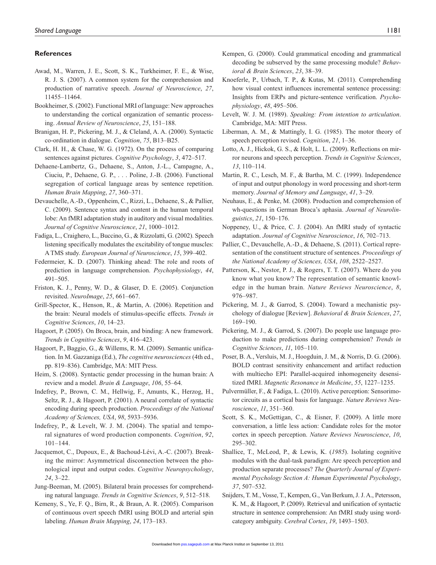#### **References**

- Awad, M., Warren, J. E., Scott, S. K., Turkheimer, F. E., & Wise, R. J. S. (2007). A common system for the comprehension and production of narrative speech. *Journal of Neuroscience*, *27*, 11455–11464.
- Bookheimer, S. (2002). Functional MRI of language: New approaches to understanding the cortical organization of semantic processing. *Annual Review of Neuroscience*, *25*, 151–188.
- Branigan, H. P., Pickering, M. J., & Cleland, A. A. (2000). Syntactic co-ordination in dialogue. *Cognition*, *75*, B13–B25.
- Clark, H. H., & Chase, W. G. (1972). On the process of comparing sentences against pictures. *Cognitive Psychology*, *3*, 472–517.
- Dehaene-Lambertz, G., Dehaene, S., Anton, J.-L., Campagne, A., Ciuciu, P., Dehaene, G. P., . . . Poline, J.-B. (2006). Functional segregation of cortical language areas by sentence repetition. *Human Brain Mapping*, *27*, 360–371.
- Devauchelle, A.-D., Oppenheim, C., Rizzi, L., Dehaene, S., & Pallier, C. (2009). Sentence syntax and content in the human temporal lobe: An fMRI adaptation study in auditory and visual modalities. *Journal of Cognitive Neuroscience*, *21*, 1000–1012.
- Fadiga, L., Craighero, L., Buccino, G., & Rizzolatti, G. (2002). Speech listening specifically modulates the excitability of tongue muscles: A TMS study. *European Journal of Neuroscience*, *15*, 399–402.
- Federmeier, K. D. (2007). Thinking ahead: The role and roots of prediction in language comprehension. *Psychophysiology*, *44*, 491–505.
- Friston, K. J., Penny, W. D., & Glaser, D. E. (2005). Conjunction revisited. *NeuroImage*, *25*, 661–667.
- Grill-Spector, K., Henson, R., & Martin, A. (2006). Repetition and the brain: Neural models of stimulus-specific effects. *Trends in Cognitive Sciences*, *10*, 14–23.
- Hagoort, P. (2005). On Broca, brain, and binding: A new framework. *Trends in Cognitive Sciences*, *9*, 416–423.
- Hagoort, P., Baggio, G., & Willems, R. M. (2009). Semantic unification. In M. Gazzaniga (Ed.), *The cognitive neurosciences* (4th ed., pp. 819–836). Cambridge, MA: MIT Press.
- Heim, S. (2008). Syntactic gender processing in the human brain: A review and a model. *Brain & Language*, *106*, 55–64.
- Indefrey, P., Brown, C. M., Hellwig, F., Amunts, K., Herzog, H., Seltz, R. J., & Hagoort, P. (2001). A neural correlate of syntactic encoding during speech production. *Proceedings of the National Academy of Sciences, USA*, *98*, 5933–5936.
- Indefrey, P., & Levelt, W. J. M. (2004). The spatial and temporal signatures of word production components. *Cognition*, *92*, 101–144.
- Jacquemot, C., Dupoux, E., & Bachoud-Lévi, A.-C. (2007). Breaking the mirror: Asymmetrical disconnection between the phonological input and output codes. *Cognitive Neuropsychology*, *24*, 3–22.
- Jung-Beeman, M. (2005). Bilateral brain processes for comprehending natural language. *Trends in Cognitive Sciences*, *9*, 512–518.
- Kemeny, S., Ye, F. Q., Birn, R., & Braun, A. R. (2005). Comparison of continuous overt speech fMRI using BOLD and arterial spin labeling. *Human Brain Mapping*, *24*, 173–183.
- Kempen, G. (2000). Could grammatical encoding and grammatical decoding be subserved by the same processing module? *Behavioral & Brain Sciences*, *23*, 38–39.
- Knoeferle, P., Urbach, T. P., & Kutas, M. (2011). Comprehending how visual context influences incremental sentence processing: Insights from ERPs and picture-sentence verification. *Psychophysiology*, *48*, 495–506.
- Levelt, W. J. M. (1989). *Speaking: From intention to articulation*. Cambridge, MA: MIT Press.
- Liberman, A. M., & Mattingly, I. G. (1985). The motor theory of speech perception revised. *Cognition*, *21*, 1–36.
- Lotto, A. J., Hickok, G. S., & Holt, L. L. (2009). Reflections on mirror neurons and speech perception. *Trends in Cognitive Sciences*, *13*, 110–114.
- Martin, R. C., Lesch, M. F., & Bartha, M. C. (1999). Independence of input and output phonology in word processing and short-term memory. *Journal of Memory and Language*, *41*, 3–29.
- Neuhaus, E., & Penke, M. (2008). Production and comprehension of wh-questions in German Broca's aphasia. *Journal of Neurolinguistics*, *21*, 150–176.
- Noppeney, U., & Price, C. J. (2004). An fMRI study of syntactic adaptation. *Journal of Cognitive Neuroscience*, *16*, 702–713.
- Pallier, C., Devauchelle, A.-D., & Dehaene, S. (2011). Cortical representation of the constituent structure of sentences. *Proceedings of the National Academy of Sciences, USA*, *108*, 2522–2527.
- Patterson, K., Nestor, P. J., & Rogers, T. T. (2007). Where do you know what you know? The representation of semantic knowledge in the human brain. *Nature Reviews Neuroscience*, *8*, 976–987.
- Pickering, M. J., & Garrod, S. (2004). Toward a mechanistic psychology of dialogue [Review]. *Behavioral & Brain Sciences*, *27*, 169–190.
- Pickering, M. J., & Garrod, S. (2007). Do people use language production to make predictions during comprehension? *Trends in Cognitive Sciences*, *11*, 105–110.
- Poser, B. A., Versluis, M. J., Hoogduin, J. M., & Norris, D. G. (2006). BOLD contrast sensitivity enhancement and artifact reduction with multiecho EPI: Parallel-acquired inhomogeneity desensitized fMRI. *Magnetic Resonance in Medicine*, *55*, 1227–1235.
- Pulvermüller, F., & Fadiga, L. (2010). Active perception: Sensorimotor circuits as a cortical basis for language. *Nature Reviews Neuroscience*, *11*, 351–360.
- Scott, S. K., McGettigan, C., & Eisner, F. (2009). A little more conversation, a little less action: Candidate roles for the motor cortex in speech perception. *Nature Reviews Neuroscience*, *10*, 295–302.
- Shallice, T., McLeod, P., & Lewis, K. (*1985*). Isolating cognitive modules with the dual-task paradigm: Are speech perception and production separate processes? *The Quarterly Journal of Experimental Psychology Section A: Human Experimental Psychology*, *37*, 507–532.
- Snijders, T. M., Vosse, T., Kempen, G., Van Berkum, J. J. A., Petersson, K. M., & Hagoort, P. (2009). Retrieval and unification of syntactic structure in sentence comprehension: An fMRI study using wordcategory ambiguity. *Cerebral Cortex*, *19*, 1493–1503.